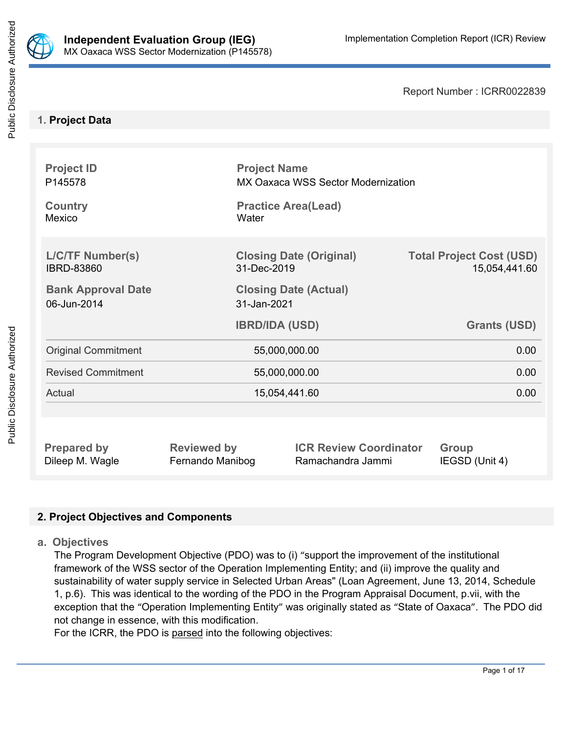

Report Number : ICRR0022839

# **1. Project Data**

| <b>Project ID</b><br>P145578                 |                       | <b>Project Name</b><br>MX Oaxaca WSS Sector Modernization |                                                  |  |  |
|----------------------------------------------|-----------------------|-----------------------------------------------------------|--------------------------------------------------|--|--|
| <b>Country</b><br>Mexico                     | Water                 | <b>Practice Area(Lead)</b>                                |                                                  |  |  |
| <b>L/C/TF Number(s)</b><br><b>IBRD-83860</b> | 31-Dec-2019           | <b>Closing Date (Original)</b>                            | <b>Total Project Cost (USD)</b><br>15,054,441.60 |  |  |
| <b>Bank Approval Date</b><br>06-Jun-2014     | 31-Jan-2021           | <b>Closing Date (Actual)</b>                              |                                                  |  |  |
|                                              | <b>IBRD/IDA (USD)</b> |                                                           | <b>Grants (USD)</b>                              |  |  |
|                                              |                       |                                                           |                                                  |  |  |
| <b>Original Commitment</b>                   |                       | 55,000,000.00                                             | 0.00                                             |  |  |
| <b>Revised Commitment</b>                    |                       | 55,000,000.00                                             | 0.00                                             |  |  |
| Actual                                       |                       | 15,054,441.60                                             | 0.00                                             |  |  |
|                                              |                       |                                                           |                                                  |  |  |

# **2. Project Objectives and Components**

**a. Objectives**

The Program Development Objective (PDO) was to (i) "support the improvement of the institutional framework of the WSS sector of the Operation Implementing Entity; and (ii) improve the quality and sustainability of water supply service in Selected Urban Areas" (Loan Agreement, June 13, 2014, Schedule 1, p.6). This was identical to the wording of the PDO in the Program Appraisal Document, p.vii, with the exception that the "Operation Implementing Entity" was originally stated as "State of Oaxaca". The PDO did not change in essence, with this modification.

For the ICRR, the PDO is parsed into the following objectives: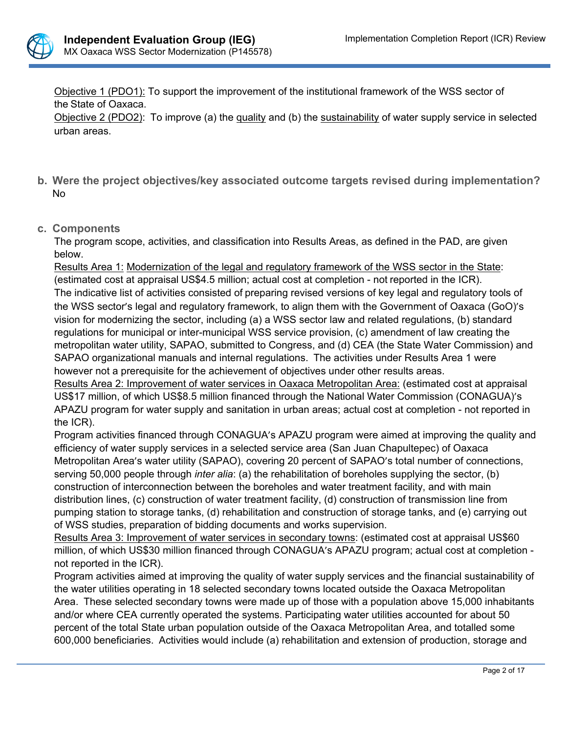

Objective 1 (PDO1): To support the improvement of the institutional framework of the WSS sector of the State of Oaxaca.

Objective 2 (PDO2): To improve (a) the quality and (b) the sustainability of water supply service in selected urban areas.

- **b. Were the project objectives/key associated outcome targets revised during implementation?** No
- **c. Components**

The program scope, activities, and classification into Results Areas, as defined in the PAD, are given below.

Results Area 1: Modernization of the legal and regulatory framework of the WSS sector in the State: (estimated cost at appraisal US\$4.5 million; actual cost at completion - not reported in the ICR). The indicative list of activities consisted of preparing revised versions of key legal and regulatory tools of the WSS sector's legal and regulatory framework, to align them with the Government of Oaxaca (GoO)'s vision for modernizing the sector, including (a) a WSS sector law and related regulations, (b) standard regulations for municipal or inter-municipal WSS service provision, (c) amendment of law creating the metropolitan water utility, SAPAO, submitted to Congress, and (d) CEA (the State Water Commission) and SAPAO organizational manuals and internal regulations. The activities under Results Area 1 were however not a prerequisite for the achievement of objectives under other results areas.

Results Area 2: Improvement of water services in Oaxaca Metropolitan Area: (estimated cost at appraisal US\$17 million, of which US\$8.5 million financed through the National Water Commission (CONAGUA)'s APAZU program for water supply and sanitation in urban areas; actual cost at completion - not reported in the ICR).

Program activities financed through CONAGUA's APAZU program were aimed at improving the quality and efficiency of water supply services in a selected service area (San Juan Chapultepec) of Oaxaca Metropolitan Area's water utility (SAPAO), covering 20 percent of SAPAO's total number of connections, serving 50,000 people through *inter alia*: (a) the rehabilitation of boreholes supplying the sector, (b) construction of interconnection between the boreholes and water treatment facility, and with main distribution lines, (c) construction of water treatment facility, (d) construction of transmission line from pumping station to storage tanks, (d) rehabilitation and construction of storage tanks, and (e) carrying out of WSS studies, preparation of bidding documents and works supervision.

Results Area 3: Improvement of water services in secondary towns: (estimated cost at appraisal US\$60 million, of which US\$30 million financed through CONAGUA's APAZU program; actual cost at completion not reported in the ICR).

Program activities aimed at improving the quality of water supply services and the financial sustainability of the water utilities operating in 18 selected secondary towns located outside the Oaxaca Metropolitan Area. These selected secondary towns were made up of those with a population above 15,000 inhabitants and/or where CEA currently operated the systems. Participating water utilities accounted for about 50 percent of the total State urban population outside of the Oaxaca Metropolitan Area, and totalled some 600,000 beneficiaries. Activities would include (a) rehabilitation and extension of production, storage and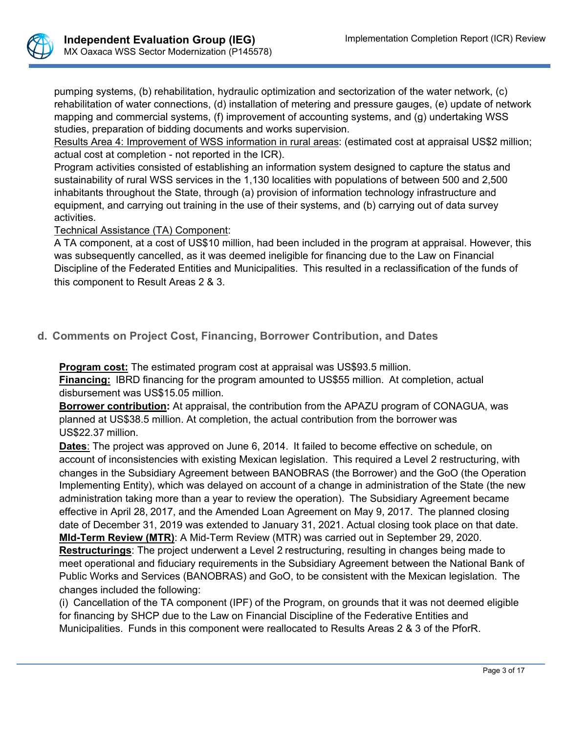

pumping systems, (b) rehabilitation, hydraulic optimization and sectorization of the water network, (c) rehabilitation of water connections, (d) installation of metering and pressure gauges, (e) update of network mapping and commercial systems, (f) improvement of accounting systems, and (g) undertaking WSS studies, preparation of bidding documents and works supervision.

Results Area 4: Improvement of WSS information in rural areas: (estimated cost at appraisal US\$2 million; actual cost at completion - not reported in the ICR).

Program activities consisted of establishing an information system designed to capture the status and sustainability of rural WSS services in the 1,130 localities with populations of between 500 and 2,500 inhabitants throughout the State, through (a) provision of information technology infrastructure and equipment, and carrying out training in the use of their systems, and (b) carrying out of data survey activities.

### Technical Assistance (TA) Component:

A TA component, at a cost of US\$10 million, had been included in the program at appraisal. However, this was subsequently cancelled, as it was deemed ineligible for financing due to the Law on Financial Discipline of the Federated Entities and Municipalities. This resulted in a reclassification of the funds of this component to Result Areas 2 & 3.

**d. Comments on Project Cost, Financing, Borrower Contribution, and Dates**

**Program cost:** The estimated program cost at appraisal was US\$93.5 million.

**Financing:** IBRD financing for the program amounted to US\$55 million. At completion, actual disbursement was US\$15.05 million.

**Borrower contribution:** At appraisal, the contribution from the APAZU program of CONAGUA, was planned at US\$38.5 million. At completion, the actual contribution from the borrower was US\$22.37 million.

**Dates**: The project was approved on June 6, 2014. It failed to become effective on schedule, on account of inconsistencies with existing Mexican legislation. This required a Level 2 restructuring, with changes in the Subsidiary Agreement between BANOBRAS (the Borrower) and the GoO (the Operation Implementing Entity), which was delayed on account of a change in administration of the State (the new administration taking more than a year to review the operation). The Subsidiary Agreement became effective in April 28, 2017, and the Amended Loan Agreement on May 9, 2017. The planned closing date of December 31, 2019 was extended to January 31, 2021. Actual closing took place on that date. **MId-Term Review (MTR)**: A Mid-Term Review (MTR) was carried out in September 29, 2020.

**Restructurings**: The project underwent a Level 2 restructuring, resulting in changes being made to meet operational and fiduciary requirements in the Subsidiary Agreement between the National Bank of Public Works and Services (BANOBRAS) and GoO, to be consistent with the Mexican legislation. The changes included the following:

(i) Cancellation of the TA component (IPF) of the Program, on grounds that it was not deemed eligible for financing by SHCP due to the Law on Financial Discipline of the Federative Entities and Municipalities. Funds in this component were reallocated to Results Areas 2 & 3 of the PforR.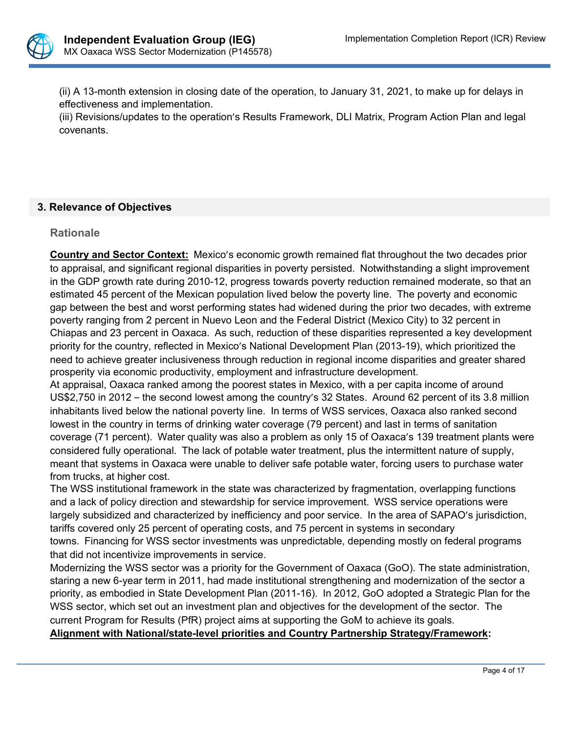

(ii) A 13-month extension in closing date of the operation, to January 31, 2021, to make up for delays in effectiveness and implementation.

(iii) Revisions/updates to the operation's Results Framework, DLI Matrix, Program Action Plan and legal covenants.

# **3. Relevance of Objectives**

### **Rationale**

**Country and Sector Context:** Mexico's economic growth remained flat throughout the two decades prior to appraisal, and significant regional disparities in poverty persisted. Notwithstanding a slight improvement in the GDP growth rate during 2010-12, progress towards poverty reduction remained moderate, so that an estimated 45 percent of the Mexican population lived below the poverty line. The poverty and economic gap between the best and worst performing states had widened during the prior two decades, with extreme poverty ranging from 2 percent in Nuevo Leon and the Federal District (Mexico City) to 32 percent in Chiapas and 23 percent in Oaxaca. As such, reduction of these disparities represented a key development priority for the country, reflected in Mexico's National Development Plan (2013-19), which prioritized the need to achieve greater inclusiveness through reduction in regional income disparities and greater shared prosperity via economic productivity, employment and infrastructure development.

At appraisal, Oaxaca ranked among the poorest states in Mexico, with a per capita income of around US\$2,750 in 2012 – the second lowest among the country's 32 States. Around 62 percent of its 3.8 million inhabitants lived below the national poverty line. In terms of WSS services, Oaxaca also ranked second lowest in the country in terms of drinking water coverage (79 percent) and last in terms of sanitation coverage (71 percent). Water quality was also a problem as only 15 of Oaxaca's 139 treatment plants were considered fully operational. The lack of potable water treatment, plus the intermittent nature of supply, meant that systems in Oaxaca were unable to deliver safe potable water, forcing users to purchase water from trucks, at higher cost.

The WSS institutional framework in the state was characterized by fragmentation, overlapping functions and a lack of policy direction and stewardship for service improvement. WSS service operations were largely subsidized and characterized by inefficiency and poor service. In the area of SAPAO's jurisdiction, tariffs covered only 25 percent of operating costs, and 75 percent in systems in secondary towns. Financing for WSS sector investments was unpredictable, depending mostly on federal programs that did not incentivize improvements in service.

Modernizing the WSS sector was a priority for the Government of Oaxaca (GoO). The state administration, staring a new 6-year term in 2011, had made institutional strengthening and modernization of the sector a priority, as embodied in State Development Plan (2011-16). In 2012, GoO adopted a Strategic Plan for the WSS sector, which set out an investment plan and objectives for the development of the sector. The current Program for Results (PfR) project aims at supporting the GoM to achieve its goals.

# **Alignment with National/state-level priorities and Country Partnership Strategy/Framework:**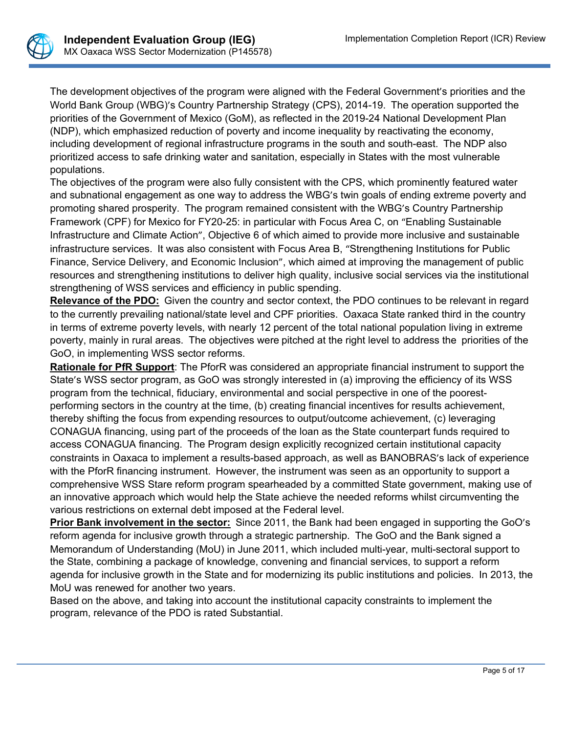

The development objectives of the program were aligned with the Federal Government's priorities and the World Bank Group (WBG)'s Country Partnership Strategy (CPS), 2014-19. The operation supported the priorities of the Government of Mexico (GoM), as reflected in the 2019-24 National Development Plan (NDP), which emphasized reduction of poverty and income inequality by reactivating the economy, including development of regional infrastructure programs in the south and south-east. The NDP also prioritized access to safe drinking water and sanitation, especially in States with the most vulnerable populations.

The objectives of the program were also fully consistent with the CPS, which prominently featured water and subnational engagement as one way to address the WBG's twin goals of ending extreme poverty and promoting shared prosperity. The program remained consistent with the WBG's Country Partnership Framework (CPF) for Mexico for FY20-25: in particular with Focus Area C, on "Enabling Sustainable Infrastructure and Climate Action", Objective 6 of which aimed to provide more inclusive and sustainable infrastructure services. It was also consistent with Focus Area B, "Strengthening Institutions for Public Finance, Service Delivery, and Economic Inclusion", which aimed at improving the management of public resources and strengthening institutions to deliver high quality, inclusive social services via the institutional strengthening of WSS services and efficiency in public spending.

**Relevance of the PDO:** Given the country and sector context, the PDO continues to be relevant in regard to the currently prevailing national/state level and CPF priorities. Oaxaca State ranked third in the country in terms of extreme poverty levels, with nearly 12 percent of the total national population living in extreme poverty, mainly in rural areas. The objectives were pitched at the right level to address the priorities of the GoO, in implementing WSS sector reforms.

**Rationale for PfR Support**: The PforR was considered an appropriate financial instrument to support the State's WSS sector program, as GoO was strongly interested in (a) improving the efficiency of its WSS program from the technical, fiduciary, environmental and social perspective in one of the poorestperforming sectors in the country at the time, (b) creating financial incentives for results achievement, thereby shifting the focus from expending resources to output/outcome achievement, (c) leveraging CONAGUA financing, using part of the proceeds of the loan as the State counterpart funds required to access CONAGUA financing. The Program design explicitly recognized certain institutional capacity constraints in Oaxaca to implement a results-based approach, as well as BANOBRAS's lack of experience with the PforR financing instrument. However, the instrument was seen as an opportunity to support a comprehensive WSS Stare reform program spearheaded by a committed State government, making use of an innovative approach which would help the State achieve the needed reforms whilst circumventing the various restrictions on external debt imposed at the Federal level.

**Prior Bank involvement in the sector:** Since 2011, the Bank had been engaged in supporting the GoO's reform agenda for inclusive growth through a strategic partnership. The GoO and the Bank signed a Memorandum of Understanding (MoU) in June 2011, which included multi-year, multi-sectoral support to the State, combining a package of knowledge, convening and financial services, to support a reform agenda for inclusive growth in the State and for modernizing its public institutions and policies. In 2013, the MoU was renewed for another two years.

Based on the above, and taking into account the institutional capacity constraints to implement the program, relevance of the PDO is rated Substantial.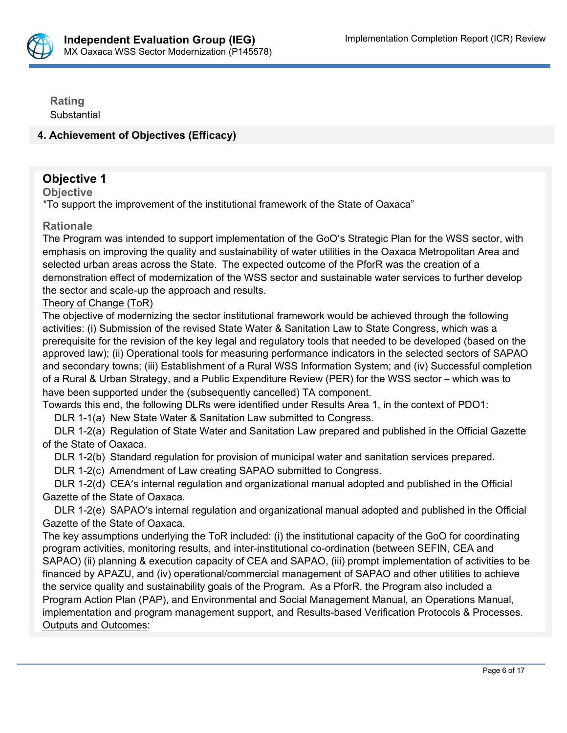

**Rating Substantial** 

# **4. Achievement of Objectives (Efficacy)**

# **Objective 1**

**Objective**

"To support the improvement of the institutional framework of the State of Oaxaca"

### **Rationale**

The Program was intended to support implementation of the GoO's Strategic Plan for the WSS sector, with emphasis on improving the quality and sustainability of water utilities in the Oaxaca Metropolitan Area and selected urban areas across the State. The expected outcome of the PforR was the creation of a demonstration effect of modernization of the WSS sector and sustainable water services to further develop the sector and scale-up the approach and results.

### Theory of Change (ToR)

The objective of modernizing the sector institutional framework would be achieved through the following activities: (i) Submission of the revised State Water & Sanitation Law to State Congress, which was a prerequisite for the revision of the key legal and regulatory tools that needed to be developed (based on the approved law); (ii) Operational tools for measuring performance indicators in the selected sectors of SAPAO and secondary towns; (iii) Establishment of a Rural WSS Information System; and (iv) Successful completion of a Rural & Urban Strategy, and a Public Expenditure Review (PER) for the WSS sector – which was to have been supported under the (subsequently cancelled) TA component.

Towards this end, the following DLRs were identified under Results Area 1, in the context of PDO1:

DLR 1-1(a) New State Water & Sanitation Law submitted to Congress.

 DLR 1-2(a) Regulation of State Water and Sanitation Law prepared and published in the Official Gazette of the State of Oaxaca.

DLR 1-2(b) Standard regulation for provision of municipal water and sanitation services prepared.

DLR 1-2(c) Amendment of Law creating SAPAO submitted to Congress.

 DLR 1-2(d) CEA's internal regulation and organizational manual adopted and published in the Official Gazette of the State of Oaxaca.

 DLR 1-2(e) SAPAO's internal regulation and organizational manual adopted and published in the Official Gazette of the State of Oaxaca.

The key assumptions underlying the ToR included: (i) the institutional capacity of the GoO for coordinating program activities, monitoring results, and inter-institutional co-ordination (between SEFIN, CEA and SAPAO) (ii) planning & execution capacity of CEA and SAPAO, (iii) prompt implementation of activities to be financed by APAZU, and (iv) operational/commercial management of SAPAO and other utilities to achieve the service quality and sustainability goals of the Program. As a PforR, the Program also included a Program Action Plan (PAP), and Environmental and Social Management Manual, an Operations Manual, implementation and program management support, and Results-based Verification Protocols & Processes. Outputs and Outcomes: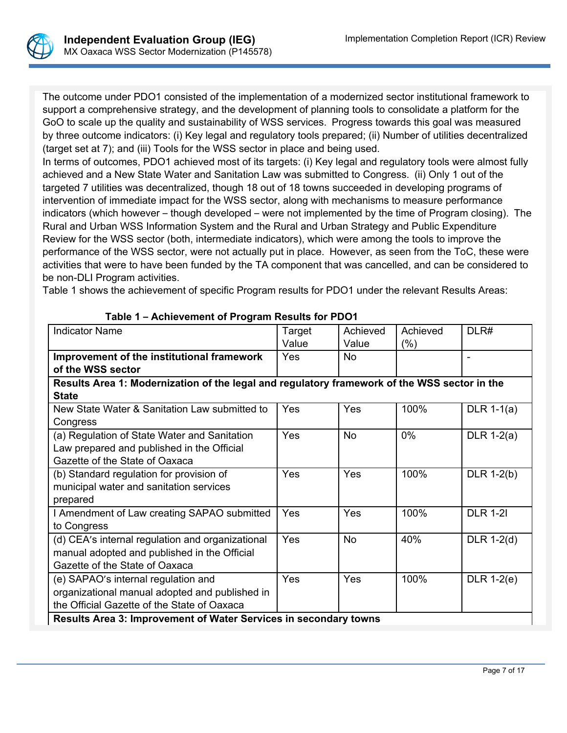

The outcome under PDO1 consisted of the implementation of a modernized sector institutional framework to support a comprehensive strategy, and the development of planning tools to consolidate a platform for the GoO to scale up the quality and sustainability of WSS services. Progress towards this goal was measured by three outcome indicators: (i) Key legal and regulatory tools prepared; (ii) Number of utilities decentralized (target set at 7); and (iii) Tools for the WSS sector in place and being used.

In terms of outcomes, PDO1 achieved most of its targets: (i) Key legal and regulatory tools were almost fully achieved and a New State Water and Sanitation Law was submitted to Congress. (ii) Only 1 out of the targeted 7 utilities was decentralized, though 18 out of 18 towns succeeded in developing programs of intervention of immediate impact for the WSS sector, along with mechanisms to measure performance indicators (which however – though developed – were not implemented by the time of Program closing). The Rural and Urban WSS Information System and the Rural and Urban Strategy and Public Expenditure Review for the WSS sector (both, intermediate indicators), which were among the tools to improve the performance of the WSS sector, were not actually put in place. However, as seen from the ToC, these were activities that were to have been funded by the TA component that was cancelled, and can be considered to be non-DLI Program activities.

Table 1 shows the achievement of specific Program results for PDO1 under the relevant Results Areas:

| <b>Indicator Name</b>                                                                        | Target     | Achieved   | Achieved | DLR#            |
|----------------------------------------------------------------------------------------------|------------|------------|----------|-----------------|
|                                                                                              | Value      | Value      | $(\% )$  |                 |
| Improvement of the institutional framework                                                   | <b>Yes</b> | <b>No</b>  |          |                 |
| of the WSS sector                                                                            |            |            |          |                 |
| Results Area 1: Modernization of the legal and regulatory framework of the WSS sector in the |            |            |          |                 |
| <b>State</b>                                                                                 |            |            |          |                 |
| New State Water & Sanitation Law submitted to                                                | <b>Yes</b> | <b>Yes</b> | 100%     | DLR $1-1(a)$    |
| Congress                                                                                     |            |            |          |                 |
| (a) Regulation of State Water and Sanitation                                                 | <b>Yes</b> | <b>No</b>  | $0\%$    | DLR $1-2(a)$    |
| Law prepared and published in the Official                                                   |            |            |          |                 |
| Gazette of the State of Oaxaca                                                               |            |            |          |                 |
| (b) Standard regulation for provision of                                                     | <b>Yes</b> | Yes        | 100%     | $DLR$ 1-2(b)    |
| municipal water and sanitation services                                                      |            |            |          |                 |
| prepared                                                                                     |            |            |          |                 |
| I Amendment of Law creating SAPAO submitted                                                  | Yes        | <b>Yes</b> | 100%     | <b>DLR 1-21</b> |
| to Congress                                                                                  |            |            |          |                 |
| (d) CEA's internal regulation and organizational                                             | Yes        | <b>No</b>  | 40%      | DLR $1-2(d)$    |
| manual adopted and published in the Official                                                 |            |            |          |                 |
| Gazette of the State of Oaxaca                                                               |            |            |          |                 |
| (e) SAPAO's internal regulation and                                                          | <b>Yes</b> | <b>Yes</b> | 100%     | DLR $1-2(e)$    |
| organizational manual adopted and published in                                               |            |            |          |                 |
| the Official Gazette of the State of Oaxaca                                                  |            |            |          |                 |
| <b>Results Area 3: Improvement of Water Services in secondary towns</b>                      |            |            |          |                 |

| Table 1 - Achievement of Program Results for PDO1 |
|---------------------------------------------------|
|---------------------------------------------------|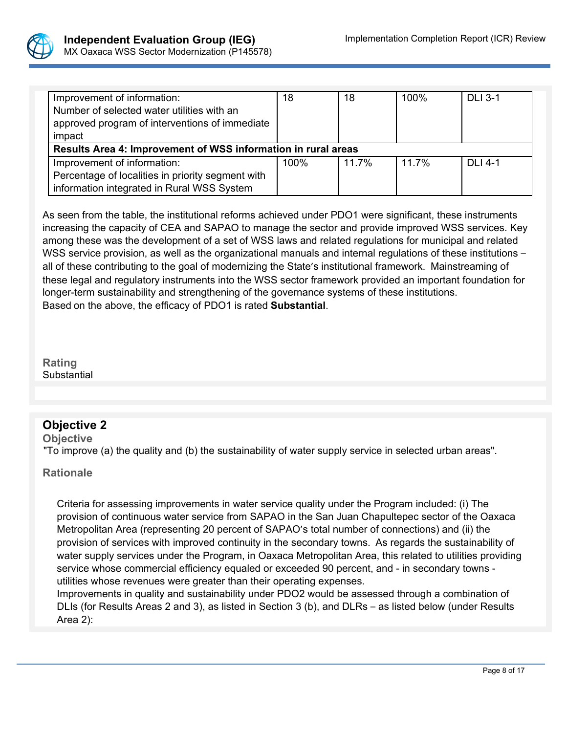

| Improvement of information:                                   | 18   | 18    | 100%  | <b>DLI 3-1</b> |
|---------------------------------------------------------------|------|-------|-------|----------------|
| Number of selected water utilities with an                    |      |       |       |                |
| approved program of interventions of immediate                |      |       |       |                |
| impact                                                        |      |       |       |                |
| Results Area 4: Improvement of WSS information in rural areas |      |       |       |                |
|                                                               |      |       |       |                |
| Improvement of information:                                   | 100% | 11.7% | 11.7% | $DI14-1$       |
| Percentage of localities in priority segment with             |      |       |       |                |

As seen from the table, the institutional reforms achieved under PDO1 were significant, these instruments increasing the capacity of CEA and SAPAO to manage the sector and provide improved WSS services. Key among these was the development of a set of WSS laws and related regulations for municipal and related WSS service provision, as well as the organizational manuals and internal regulations of these institutions – all of these contributing to the goal of modernizing the State's institutional framework. Mainstreaming of these legal and regulatory instruments into the WSS sector framework provided an important foundation for longer-term sustainability and strengthening of the governance systems of these institutions. Based on the above, the efficacy of PDO1 is rated **Substantial**.

**Rating Substantial** PHREVDELTBL

# **Objective 2**

**Objective**

"To improve (a) the quality and (b) the sustainability of water supply service in selected urban areas".

### **Rationale**

Criteria for assessing improvements in water service quality under the Program included: (i) The provision of continuous water service from SAPAO in the San Juan Chapultepec sector of the Oaxaca Metropolitan Area (representing 20 percent of SAPAO's total number of connections) and (ii) the provision of services with improved continuity in the secondary towns. As regards the sustainability of water supply services under the Program, in Oaxaca Metropolitan Area, this related to utilities providing service whose commercial efficiency equaled or exceeded 90 percent, and - in secondary towns utilities whose revenues were greater than their operating expenses.

Improvements in quality and sustainability under PDO2 would be assessed through a combination of DLIs (for Results Areas 2 and 3), as listed in Section 3 (b), and DLRs – as listed below (under Results Area 2):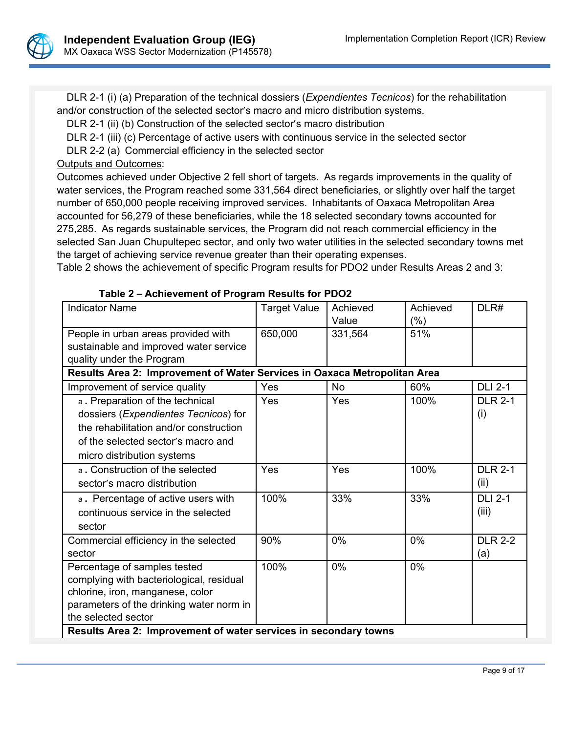

 DLR 2-1 (i) (a) Preparation of the technical dossiers (*Expendientes Tecnicos*) for the rehabilitation and/or construction of the selected sector's macro and micro distribution systems.

DLR 2-1 (ii) (b) Construction of the selected sector's macro distribution

DLR 2-1 (iii) (c) Percentage of active users with continuous service in the selected sector

DLR 2-2 (a) Commercial efficiency in the selected sector

# Outputs and Outcomes:

Outcomes achieved under Objective 2 fell short of targets. As regards improvements in the quality of water services, the Program reached some 331,564 direct beneficiaries, or slightly over half the target number of 650,000 people receiving improved services. Inhabitants of Oaxaca Metropolitan Area accounted for 56,279 of these beneficiaries, while the 18 selected secondary towns accounted for 275,285. As regards sustainable services, the Program did not reach commercial efficiency in the selected San Juan Chupultepec sector, and only two water utilities in the selected secondary towns met the target of achieving service revenue greater than their operating expenses.

Table 2 shows the achievement of specific Program results for PDO2 under Results Areas 2 and 3:

| <b>Indicator Name</b>                                                     | <b>Target Value</b> | Achieved  | Achieved | DLR#           |
|---------------------------------------------------------------------------|---------------------|-----------|----------|----------------|
|                                                                           |                     | Value     | $(\% )$  |                |
| People in urban areas provided with                                       | 650,000             | 331,564   | 51%      |                |
| sustainable and improved water service                                    |                     |           |          |                |
| quality under the Program                                                 |                     |           |          |                |
| Results Area 2: Improvement of Water Services in Oaxaca Metropolitan Area |                     |           |          |                |
| Improvement of service quality                                            | Yes                 | <b>No</b> | 60%      | <b>DLI 2-1</b> |
| a. Preparation of the technical                                           | Yes                 | Yes       | 100%     | <b>DLR 2-1</b> |
| dossiers (Expendientes Tecnicos) for                                      |                     |           |          | (i)            |
| the rehabilitation and/or construction                                    |                     |           |          |                |
| of the selected sector's macro and                                        |                     |           |          |                |
| micro distribution systems                                                |                     |           |          |                |
| a. Construction of the selected                                           | Yes                 | Yes       | 100%     | <b>DLR 2-1</b> |
| sector's macro distribution                                               |                     |           |          | (ii)           |
| a. Percentage of active users with                                        | 100%                | 33%       | 33%      | <b>DLI 2-1</b> |
| continuous service in the selected                                        |                     |           |          | (iii)          |
| sector                                                                    |                     |           |          |                |
| Commercial efficiency in the selected                                     | 90%                 | 0%        | 0%       | <b>DLR 2-2</b> |
| sector                                                                    |                     |           |          | (a)            |
| Percentage of samples tested                                              | 100%                | 0%        | 0%       |                |
| complying with bacteriological, residual                                  |                     |           |          |                |
| chlorine, iron, manganese, color                                          |                     |           |          |                |
| parameters of the drinking water norm in                                  |                     |           |          |                |
| the selected sector                                                       |                     |           |          |                |
| Results Area 2: Improvement of water services in secondary towns          |                     |           |          |                |

#### **Table 2 – Achievement of Program Results for PDO2**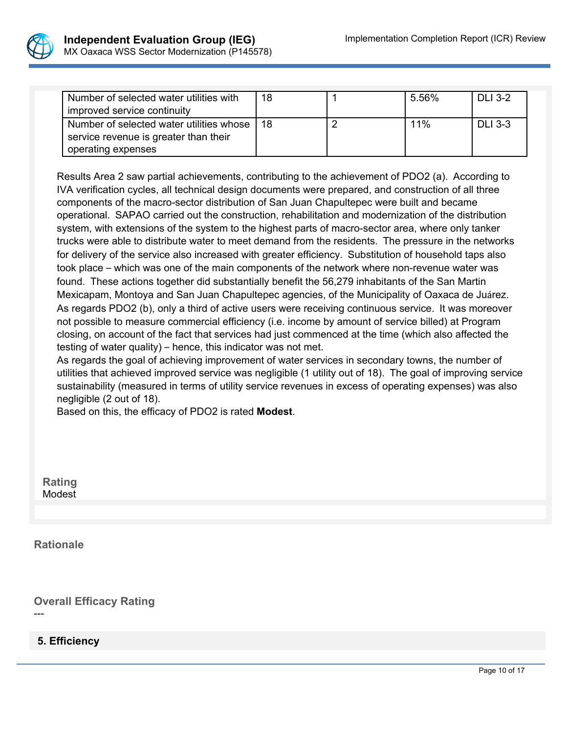

| Number of selected water utilities with       | 18 | 5.56% | <b>DLI 3-2</b> |
|-----------------------------------------------|----|-------|----------------|
| improved service continuity                   |    |       |                |
| Number of selected water utilities whose   18 |    | 11%   | <b>DLI 3-3</b> |
| service revenue is greater than their         |    |       |                |
| operating expenses                            |    |       |                |

Results Area 2 saw partial achievements, contributing to the achievement of PDO2 (a). According to IVA verification cycles, all technical design documents were prepared, and construction of all three components of the macro-sector distribution of San Juan Chapultepec were built and became operational. SAPAO carried out the construction, rehabilitation and modernization of the distribution system, with extensions of the system to the highest parts of macro-sector area, where only tanker trucks were able to distribute water to meet demand from the residents. The pressure in the networks for delivery of the service also increased with greater efficiency. Substitution of household taps also took place – which was one of the main components of the network where non-revenue water was found. These actions together did substantially benefit the 56,279 inhabitants of the San Martin Mexicapam, Montoya and San Juan Chapultepec agencies, of the Municipality of Oaxaca de Juárez. As regards PDO2 (b), only a third of active users were receiving continuous service. It was moreover not possible to measure commercial efficiency (i.e. income by amount of service billed) at Program closing, on account of the fact that services had just commenced at the time (which also affected the testing of water quality) – hence, this indicator was not met.

As regards the goal of achieving improvement of water services in secondary towns, the number of utilities that achieved improved service was negligible (1 utility out of 18). The goal of improving service sustainability (measured in terms of utility service revenues in excess of operating expenses) was also negligible (2 out of 18).

Based on this, the efficacy of PDO2 is rated **Modest**.

**Rating** Modest

**Rationale**

**Overall Efficacy Rating**

---

# **5. Efficiency**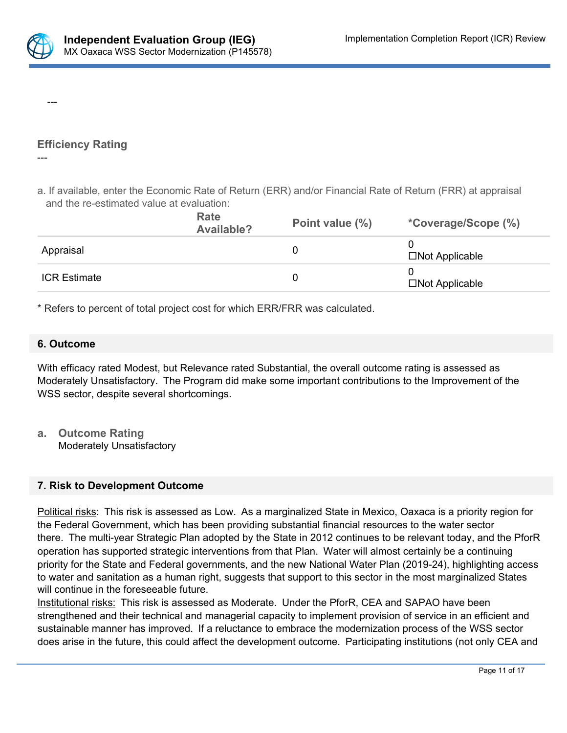

---

---

# **Efficiency Rating**

# a. If available, enter the Economic Rate of Return (ERR) and/or Financial Rate of Return (FRR) at appraisal and the re-estimated value at evaluation:

|                     | Rate<br>Available? | Point value (%) | *Coverage/Scope (%)   |
|---------------------|--------------------|-----------------|-----------------------|
| Appraisal           |                    |                 | $\Box$ Not Applicable |
| <b>ICR Estimate</b> |                    |                 | $\Box$ Not Applicable |

\* Refers to percent of total project cost for which ERR/FRR was calculated.

# **6. Outcome**

With efficacy rated Modest, but Relevance rated Substantial, the overall outcome rating is assessed as Moderately Unsatisfactory. The Program did make some important contributions to the Improvement of the WSS sector, despite several shortcomings.

**a. Outcome Rating** Moderately Unsatisfactory

# **7. Risk to Development Outcome**

Political risks: This risk is assessed as Low. As a marginalized State in Mexico, Oaxaca is a priority region for the Federal Government, which has been providing substantial financial resources to the water sector there. The multi-year Strategic Plan adopted by the State in 2012 continues to be relevant today, and the PforR operation has supported strategic interventions from that Plan. Water will almost certainly be a continuing priority for the State and Federal governments, and the new National Water Plan (2019-24), highlighting access to water and sanitation as a human right, suggests that support to this sector in the most marginalized States will continue in the foreseeable future.

Institutional risks: This risk is assessed as Moderate. Under the PforR, CEA and SAPAO have been strengthened and their technical and managerial capacity to implement provision of service in an efficient and sustainable manner has improved. If a reluctance to embrace the modernization process of the WSS sector does arise in the future, this could affect the development outcome. Participating institutions (not only CEA and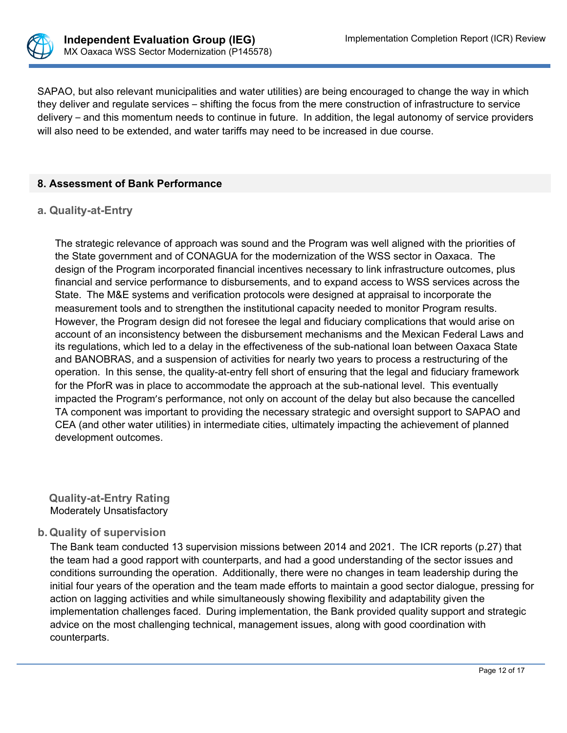

SAPAO, but also relevant municipalities and water utilities) are being encouraged to change the way in which they deliver and regulate services – shifting the focus from the mere construction of infrastructure to service delivery – and this momentum needs to continue in future. In addition, the legal autonomy of service providers will also need to be extended, and water tariffs may need to be increased in due course.

### **8. Assessment of Bank Performance**

#### **a. Quality-at-Entry**

The strategic relevance of approach was sound and the Program was well aligned with the priorities of the State government and of CONAGUA for the modernization of the WSS sector in Oaxaca. The design of the Program incorporated financial incentives necessary to link infrastructure outcomes, plus financial and service performance to disbursements, and to expand access to WSS services across the State. The M&E systems and verification protocols were designed at appraisal to incorporate the measurement tools and to strengthen the institutional capacity needed to monitor Program results. However, the Program design did not foresee the legal and fiduciary complications that would arise on account of an inconsistency between the disbursement mechanisms and the Mexican Federal Laws and its regulations, which led to a delay in the effectiveness of the sub-national loan between Oaxaca State and BANOBRAS, and a suspension of activities for nearly two years to process a restructuring of the operation. In this sense, the quality-at-entry fell short of ensuring that the legal and fiduciary framework for the PforR was in place to accommodate the approach at the sub-national level. This eventually impacted the Program's performance, not only on account of the delay but also because the cancelled TA component was important to providing the necessary strategic and oversight support to SAPAO and CEA (and other water utilities) in intermediate cities, ultimately impacting the achievement of planned development outcomes.

**Quality-at-Entry Rating** Moderately Unsatisfactory

#### **b. Quality of supervision**

The Bank team conducted 13 supervision missions between 2014 and 2021. The ICR reports (p.27) that the team had a good rapport with counterparts, and had a good understanding of the sector issues and conditions surrounding the operation. Additionally, there were no changes in team leadership during the initial four years of the operation and the team made efforts to maintain a good sector dialogue, pressing for action on lagging activities and while simultaneously showing flexibility and adaptability given the implementation challenges faced. During implementation, the Bank provided quality support and strategic advice on the most challenging technical, management issues, along with good coordination with counterparts.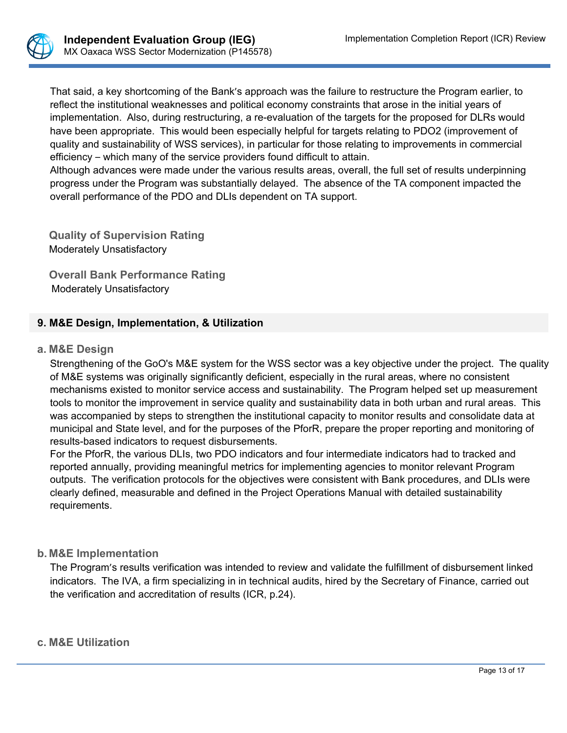

That said, a key shortcoming of the Bank's approach was the failure to restructure the Program earlier, to reflect the institutional weaknesses and political economy constraints that arose in the initial years of implementation. Also, during restructuring, a re-evaluation of the targets for the proposed for DLRs would have been appropriate. This would been especially helpful for targets relating to PDO2 (improvement of quality and sustainability of WSS services), in particular for those relating to improvements in commercial efficiency – which many of the service providers found difficult to attain.

Although advances were made under the various results areas, overall, the full set of results underpinning progress under the Program was substantially delayed. The absence of the TA component impacted the overall performance of the PDO and DLIs dependent on TA support.

**Quality of Supervision Rating**  Moderately Unsatisfactory

**Overall Bank Performance Rating** Moderately Unsatisfactory

# **9. M&E Design, Implementation, & Utilization**

### **a. M&E Design**

Strengthening of the GoO's M&E system for the WSS sector was a key objective under the project. The quality of M&E systems was originally significantly deficient, especially in the rural areas, where no consistent mechanisms existed to monitor service access and sustainability. The Program helped set up measurement tools to monitor the improvement in service quality and sustainability data in both urban and rural areas. This was accompanied by steps to strengthen the institutional capacity to monitor results and consolidate data at municipal and State level, and for the purposes of the PforR, prepare the proper reporting and monitoring of results-based indicators to request disbursements.

For the PforR, the various DLIs, two PDO indicators and four intermediate indicators had to tracked and reported annually, providing meaningful metrics for implementing agencies to monitor relevant Program outputs. The verification protocols for the objectives were consistent with Bank procedures, and DLIs were clearly defined, measurable and defined in the Project Operations Manual with detailed sustainability requirements.

# **b. M&E Implementation**

The Program's results verification was intended to review and validate the fulfillment of disbursement linked indicators. The IVA, a firm specializing in in technical audits, hired by the Secretary of Finance, carried out the verification and accreditation of results (ICR, p.24).

### **c. M&E Utilization**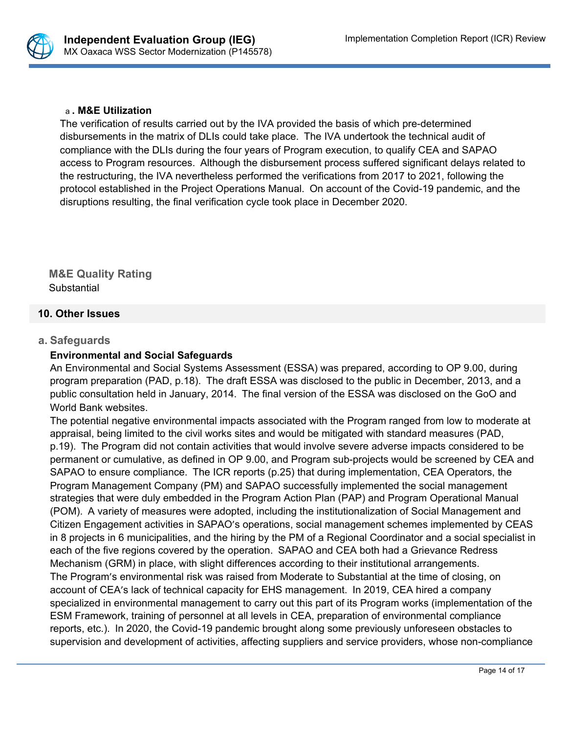

### a **. M&E Utilization**

The verification of results carried out by the IVA provided the basis of which pre-determined disbursements in the matrix of DLIs could take place. The IVA undertook the technical audit of compliance with the DLIs during the four years of Program execution, to qualify CEA and SAPAO access to Program resources. Although the disbursement process suffered significant delays related to the restructuring, the IVA nevertheless performed the verifications from 2017 to 2021, following the protocol established in the Project Operations Manual. On account of the Covid-19 pandemic, and the disruptions resulting, the final verification cycle took place in December 2020.

**M&E Quality Rating** Substantial

### **10. Other Issues**

### **a. Safeguards**

# **Environmental and Social Safeguards**

An Environmental and Social Systems Assessment (ESSA) was prepared, according to OP 9.00, during program preparation (PAD, p.18). The draft ESSA was disclosed to the public in December, 2013, and a public consultation held in January, 2014. The final version of the ESSA was disclosed on the GoO and World Bank websites.

The potential negative environmental impacts associated with the Program ranged from low to moderate at appraisal, being limited to the civil works sites and would be mitigated with standard measures (PAD, p.19). The Program did not contain activities that would involve severe adverse impacts considered to be permanent or cumulative, as defined in OP 9.00, and Program sub-projects would be screened by CEA and SAPAO to ensure compliance. The ICR reports (p.25) that during implementation, CEA Operators, the Program Management Company (PM) and SAPAO successfully implemented the social management strategies that were duly embedded in the Program Action Plan (PAP) and Program Operational Manual (POM). A variety of measures were adopted, including the institutionalization of Social Management and Citizen Engagement activities in SAPAO's operations, social management schemes implemented by CEAS in 8 projects in 6 municipalities, and the hiring by the PM of a Regional Coordinator and a social specialist in each of the five regions covered by the operation. SAPAO and CEA both had a Grievance Redress Mechanism (GRM) in place, with slight differences according to their institutional arrangements. The Program's environmental risk was raised from Moderate to Substantial at the time of closing, on account of CEA's lack of technical capacity for EHS management. In 2019, CEA hired a company specialized in environmental management to carry out this part of its Program works (implementation of the ESM Framework, training of personnel at all levels in CEA, preparation of environmental compliance reports, etc.). In 2020, the Covid-19 pandemic brought along some previously unforeseen obstacles to supervision and development of activities, affecting suppliers and service providers, whose non-compliance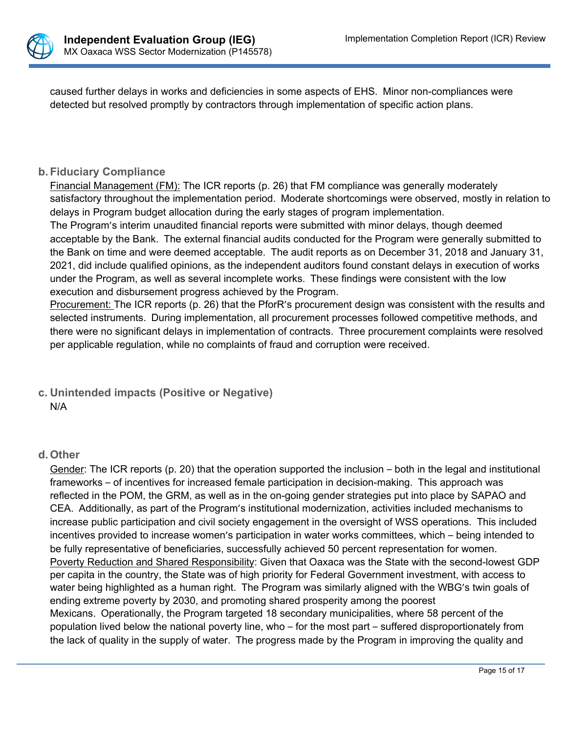

caused further delays in works and deficiencies in some aspects of EHS. Minor non-compliances were detected but resolved promptly by contractors through implementation of specific action plans.

# **b. Fiduciary Compliance**

Financial Management (FM): The ICR reports (p. 26) that FM compliance was generally moderately satisfactory throughout the implementation period. Moderate shortcomings were observed, mostly in relation to delays in Program budget allocation during the early stages of program implementation.

The Program's interim unaudited financial reports were submitted with minor delays, though deemed acceptable by the Bank. The external financial audits conducted for the Program were generally submitted to the Bank on time and were deemed acceptable. The audit reports as on December 31, 2018 and January 31, 2021, did include qualified opinions, as the independent auditors found constant delays in execution of works under the Program, as well as several incomplete works. These findings were consistent with the low execution and disbursement progress achieved by the Program.

Procurement: The ICR reports (p. 26) that the PforR's procurement design was consistent with the results and selected instruments. During implementation, all procurement processes followed competitive methods, and there were no significant delays in implementation of contracts. Three procurement complaints were resolved per applicable regulation, while no complaints of fraud and corruption were received.

# **c. Unintended impacts (Positive or Negative)** N/A

### **d. Other**

Gender: The ICR reports (p. 20) that the operation supported the inclusion – both in the legal and institutional frameworks – of incentives for increased female participation in decision-making. This approach was reflected in the POM, the GRM, as well as in the on-going gender strategies put into place by SAPAO and CEA. Additionally, as part of the Program's institutional modernization, activities included mechanisms to increase public participation and civil society engagement in the oversight of WSS operations. This included incentives provided to increase women's participation in water works committees, which – being intended to be fully representative of beneficiaries, successfully achieved 50 percent representation for women. Poverty Reduction and Shared Responsibility: Given that Oaxaca was the State with the second-lowest GDP per capita in the country, the State was of high priority for Federal Government investment, with access to water being highlighted as a human right. The Program was similarly aligned with the WBG's twin goals of ending extreme poverty by 2030, and promoting shared prosperity among the poorest Mexicans. Operationally, the Program targeted 18 secondary municipalities, where 58 percent of the population lived below the national poverty line, who – for the most part – suffered disproportionately from the lack of quality in the supply of water. The progress made by the Program in improving the quality and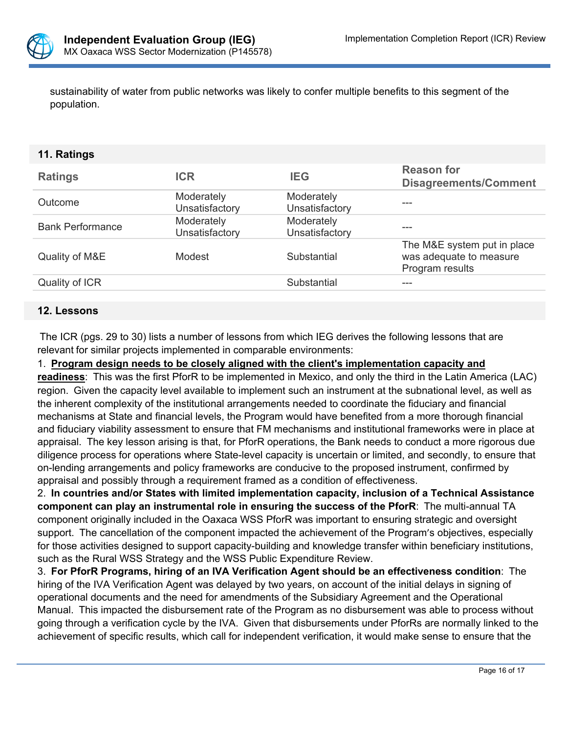

sustainability of water from public networks was likely to confer multiple benefits to this segment of the population.

### **11. Ratings**

| <b>Ratings</b>          | <b>ICR</b>                   | <b>IEG</b>                   | <b>Reason for</b><br><b>Disagreements/Comment</b>                         |
|-------------------------|------------------------------|------------------------------|---------------------------------------------------------------------------|
| <b>Outcome</b>          | Moderately<br>Unsatisfactory | Moderately<br>Unsatisfactory |                                                                           |
| <b>Bank Performance</b> | Moderately<br>Unsatisfactory | Moderately<br>Unsatisfactory | ---                                                                       |
| Quality of M&E          | Modest                       | Substantial                  | The M&E system put in place<br>was adequate to measure<br>Program results |
| Quality of ICR          |                              | Substantial                  |                                                                           |
|                         |                              |                              |                                                                           |

### **12. Lessons**

The ICR (pgs. 29 to 30) lists a number of lessons from which IEG derives the following lessons that are relevant for similar projects implemented in comparable environments:

### 1. **Program design needs to be closely aligned with the client's implementation capacity and**

**readiness**: This was the first PforR to be implemented in Mexico, and only the third in the Latin America (LAC) region. Given the capacity level available to implement such an instrument at the subnational level, as well as the inherent complexity of the institutional arrangements needed to coordinate the fiduciary and financial mechanisms at State and financial levels, the Program would have benefited from a more thorough financial and fiduciary viability assessment to ensure that FM mechanisms and institutional frameworks were in place at appraisal. The key lesson arising is that, for PforR operations, the Bank needs to conduct a more rigorous due diligence process for operations where State-level capacity is uncertain or limited, and secondly, to ensure that on-lending arrangements and policy frameworks are conducive to the proposed instrument, confirmed by appraisal and possibly through a requirement framed as a condition of effectiveness.

2. **In countries and/or States with limited implementation capacity, inclusion of a Technical Assistance component can play an instrumental role in ensuring the success of the PforR**: The multi-annual TA component originally included in the Oaxaca WSS PforR was important to ensuring strategic and oversight support. The cancellation of the component impacted the achievement of the Program's objectives, especially for those activities designed to support capacity-building and knowledge transfer within beneficiary institutions, such as the Rural WSS Strategy and the WSS Public Expenditure Review.

3. **For PforR Programs, hiring of an IVA Verification Agent should be an effectiveness condition**: The hiring of the IVA Verification Agent was delayed by two years, on account of the initial delays in signing of operational documents and the need for amendments of the Subsidiary Agreement and the Operational Manual. This impacted the disbursement rate of the Program as no disbursement was able to process without going through a verification cycle by the IVA. Given that disbursements under PforRs are normally linked to the achievement of specific results, which call for independent verification, it would make sense to ensure that the